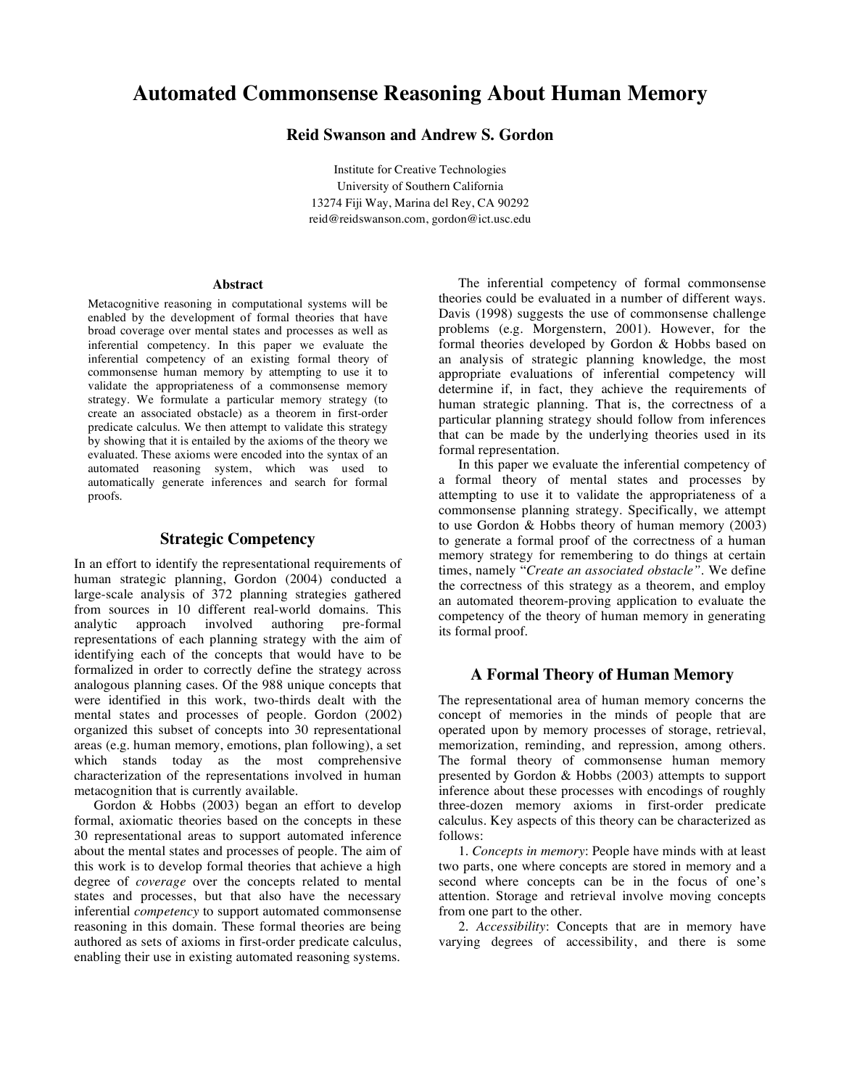# **Automated Commonsense Reasoning About Human Memory**

**Reid Swanson and Andrew S. Gordon**

Institute for Creative Technologies University of Southern California 13274 Fiji Way, Marina del Rey, CA 90292 reid@reidswanson.com, gordon@ict.usc.edu

#### **Abstract**

Metacognitive reasoning in computational systems will be enabled by the development of formal theories that have broad coverage over mental states and processes as well as inferential competency. In this paper we evaluate the inferential competency of an existing formal theory of commonsense human memory by attempting to use it to validate the appropriateness of a commonsense memory strategy. We formulate a particular memory strategy (to create an associated obstacle) as a theorem in first-order predicate calculus. We then attempt to validate this strategy by showing that it is entailed by the axioms of the theory we evaluated. These axioms were encoded into the syntax of an automated reasoning system, which was used to automatically generate inferences and search for formal proofs.

# **Strategic Competency**

In an effort to identify the representational requirements of human strategic planning, Gordon (2004) conducted a large-scale analysis of 372 planning strategies gathered from sources in 10 different real-world domains. This analytic approach involved authoring pre-formal representations of each planning strategy with the aim of identifying each of the concepts that would have to be formalized in order to correctly define the strategy across analogous planning cases. Of the 988 unique concepts that were identified in this work, two-thirds dealt with the mental states and processes of people. Gordon (2002) organized this subset of concepts into 30 representational areas (e.g. human memory, emotions, plan following), a set which stands today as the most comprehensive characterization of the representations involved in human metacognition that is currently available.

Gordon & Hobbs (2003) began an effort to develop formal, axiomatic theories based on the concepts in these 30 representational areas to support automated inference about the mental states and processes of people. The aim of this work is to develop formal theories that achieve a high degree of *coverage* over the concepts related to mental states and processes, but that also have the necessary inferential *competency* to support automated commonsense reasoning in this domain. These formal theories are being authored as sets of axioms in first-order predicate calculus, enabling their use in existing automated reasoning systems.

The inferential competency of formal commonsense theories could be evaluated in a number of different ways. Davis (1998) suggests the use of commonsense challenge problems (e.g. Morgenstern, 2001). However, for the formal theories developed by Gordon & Hobbs based on an analysis of strategic planning knowledge, the most appropriate evaluations of inferential competency will determine if, in fact, they achieve the requirements of human strategic planning. That is, the correctness of a particular planning strategy should follow from inferences that can be made by the underlying theories used in its formal representation.

In this paper we evaluate the inferential competency of a formal theory of mental states and processes by attempting to use it to validate the appropriateness of a commonsense planning strategy. Specifically, we attempt to use Gordon & Hobbs theory of human memory (2003) to generate a formal proof of the correctness of a human memory strategy for remembering to do things at certain times, namely "*Create an associated obstacle"*. We define the correctness of this strategy as a theorem, and employ an automated theorem-proving application to evaluate the competency of the theory of human memory in generating its formal proof.

## **A Formal Theory of Human Memory**

The representational area of human memory concerns the concept of memories in the minds of people that are operated upon by memory processes of storage, retrieval, memorization, reminding, and repression, among others. The formal theory of commonsense human memory presented by Gordon & Hobbs (2003) attempts to support inference about these processes with encodings of roughly three-dozen memory axioms in first-order predicate calculus. Key aspects of this theory can be characterized as follows:

1. *Concepts in memory*: People have minds with at least two parts, one where concepts are stored in memory and a second where concepts can be in the focus of one's attention. Storage and retrieval involve moving concepts from one part to the other.

2. *Accessibility*: Concepts that are in memory have varying degrees of accessibility, and there is some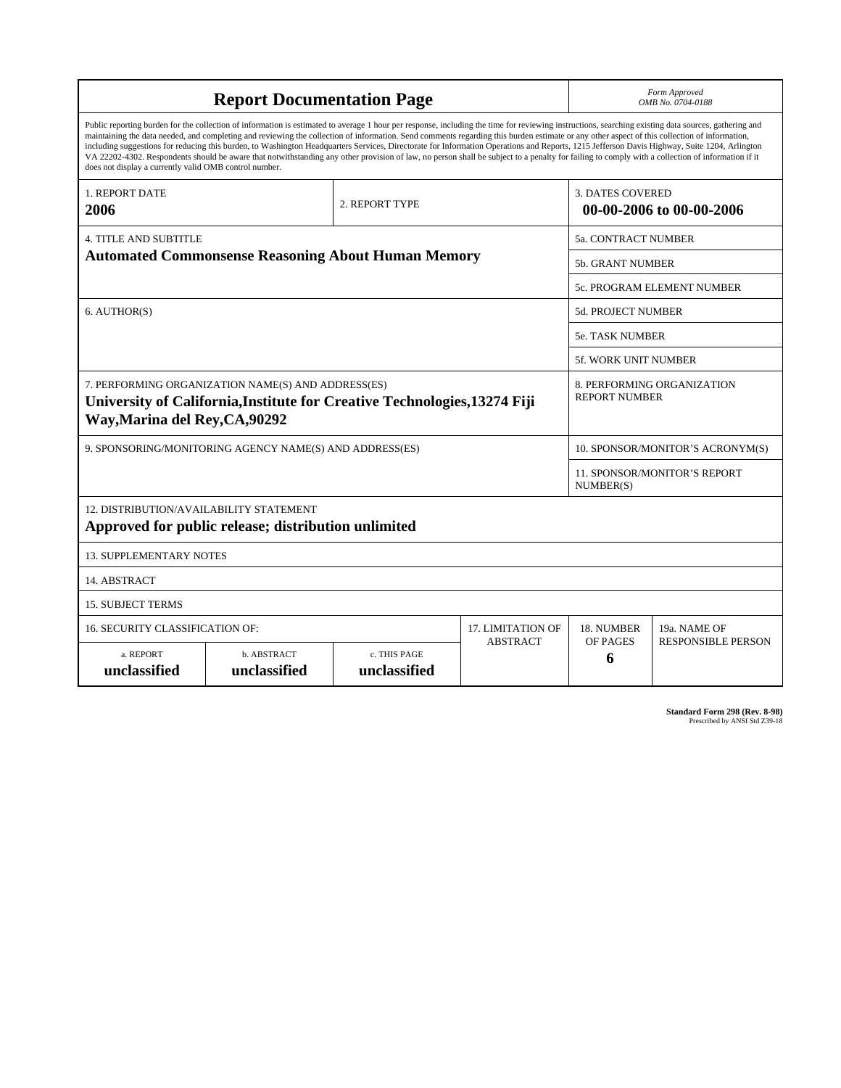| <b>Report Documentation Page</b>                                                                                                                                                                                                                                                                                                                                                                                                                                                                                                                                                                                                                                                                                                                                                                                                                                   |                             |                              |                 | Form Approved<br>OMB No. 0704-0188                  |                           |
|--------------------------------------------------------------------------------------------------------------------------------------------------------------------------------------------------------------------------------------------------------------------------------------------------------------------------------------------------------------------------------------------------------------------------------------------------------------------------------------------------------------------------------------------------------------------------------------------------------------------------------------------------------------------------------------------------------------------------------------------------------------------------------------------------------------------------------------------------------------------|-----------------------------|------------------------------|-----------------|-----------------------------------------------------|---------------------------|
| Public reporting burden for the collection of information is estimated to average 1 hour per response, including the time for reviewing instructions, searching existing data sources, gathering and<br>maintaining the data needed, and completing and reviewing the collection of information. Send comments regarding this burden estimate or any other aspect of this collection of information,<br>including suggestions for reducing this burden, to Washington Headquarters Services, Directorate for Information Operations and Reports, 1215 Jefferson Davis Highway, Suite 1204, Arlington<br>VA 22202-4302. Respondents should be aware that notwithstanding any other provision of law, no person shall be subject to a penalty for failing to comply with a collection of information if it<br>does not display a currently valid OMB control number. |                             |                              |                 |                                                     |                           |
| <b>1. REPORT DATE</b><br>2006                                                                                                                                                                                                                                                                                                                                                                                                                                                                                                                                                                                                                                                                                                                                                                                                                                      | 2. REPORT TYPE              |                              |                 | <b>3. DATES COVERED</b><br>00-00-2006 to 00-00-2006 |                           |
| <b>4. TITLE AND SUBTITLE</b><br><b>Automated Commonsense Reasoning About Human Memory</b>                                                                                                                                                                                                                                                                                                                                                                                                                                                                                                                                                                                                                                                                                                                                                                          |                             |                              |                 | 5a. CONTRACT NUMBER                                 |                           |
|                                                                                                                                                                                                                                                                                                                                                                                                                                                                                                                                                                                                                                                                                                                                                                                                                                                                    |                             |                              |                 | 5b. GRANT NUMBER                                    |                           |
|                                                                                                                                                                                                                                                                                                                                                                                                                                                                                                                                                                                                                                                                                                                                                                                                                                                                    |                             |                              |                 | 5c. PROGRAM ELEMENT NUMBER                          |                           |
| 6. AUTHOR(S)                                                                                                                                                                                                                                                                                                                                                                                                                                                                                                                                                                                                                                                                                                                                                                                                                                                       |                             |                              |                 | 5d. PROJECT NUMBER                                  |                           |
|                                                                                                                                                                                                                                                                                                                                                                                                                                                                                                                                                                                                                                                                                                                                                                                                                                                                    |                             |                              |                 | <b>5e. TASK NUMBER</b>                              |                           |
|                                                                                                                                                                                                                                                                                                                                                                                                                                                                                                                                                                                                                                                                                                                                                                                                                                                                    |                             |                              |                 | 5f. WORK UNIT NUMBER                                |                           |
| 7. PERFORMING ORGANIZATION NAME(S) AND ADDRESS(ES)<br>University of California, Institute for Creative Technologies, 13274 Fiji<br>Way, Marina del Rey, CA, 90292                                                                                                                                                                                                                                                                                                                                                                                                                                                                                                                                                                                                                                                                                                  |                             |                              |                 | 8. PERFORMING ORGANIZATION<br><b>REPORT NUMBER</b>  |                           |
| 9. SPONSORING/MONITORING AGENCY NAME(S) AND ADDRESS(ES)                                                                                                                                                                                                                                                                                                                                                                                                                                                                                                                                                                                                                                                                                                                                                                                                            |                             |                              |                 | 10. SPONSOR/MONITOR'S ACRONYM(S)                    |                           |
|                                                                                                                                                                                                                                                                                                                                                                                                                                                                                                                                                                                                                                                                                                                                                                                                                                                                    |                             |                              |                 | <b>11. SPONSOR/MONITOR'S REPORT</b><br>NUMBER(S)    |                           |
| 12. DISTRIBUTION/AVAILABILITY STATEMENT<br>Approved for public release; distribution unlimited                                                                                                                                                                                                                                                                                                                                                                                                                                                                                                                                                                                                                                                                                                                                                                     |                             |                              |                 |                                                     |                           |
| <b>13. SUPPLEMENTARY NOTES</b>                                                                                                                                                                                                                                                                                                                                                                                                                                                                                                                                                                                                                                                                                                                                                                                                                                     |                             |                              |                 |                                                     |                           |
| 14. ABSTRACT                                                                                                                                                                                                                                                                                                                                                                                                                                                                                                                                                                                                                                                                                                                                                                                                                                                       |                             |                              |                 |                                                     |                           |
| <b>15. SUBJECT TERMS</b>                                                                                                                                                                                                                                                                                                                                                                                                                                                                                                                                                                                                                                                                                                                                                                                                                                           |                             |                              |                 |                                                     |                           |
| 16. SECURITY CLASSIFICATION OF:<br><b>17. LIMITATION OF</b>                                                                                                                                                                                                                                                                                                                                                                                                                                                                                                                                                                                                                                                                                                                                                                                                        |                             |                              |                 | 18. NUMBER                                          | 19a. NAME OF              |
| a. REPORT<br>unclassified                                                                                                                                                                                                                                                                                                                                                                                                                                                                                                                                                                                                                                                                                                                                                                                                                                          | b. ABSTRACT<br>unclassified | c. THIS PAGE<br>unclassified | <b>ABSTRACT</b> | OF PAGES<br>6                                       | <b>RESPONSIBLE PERSON</b> |

**Standard Form 298 (Rev. 8-98)**<br>Prescribed by ANSI Std Z39-18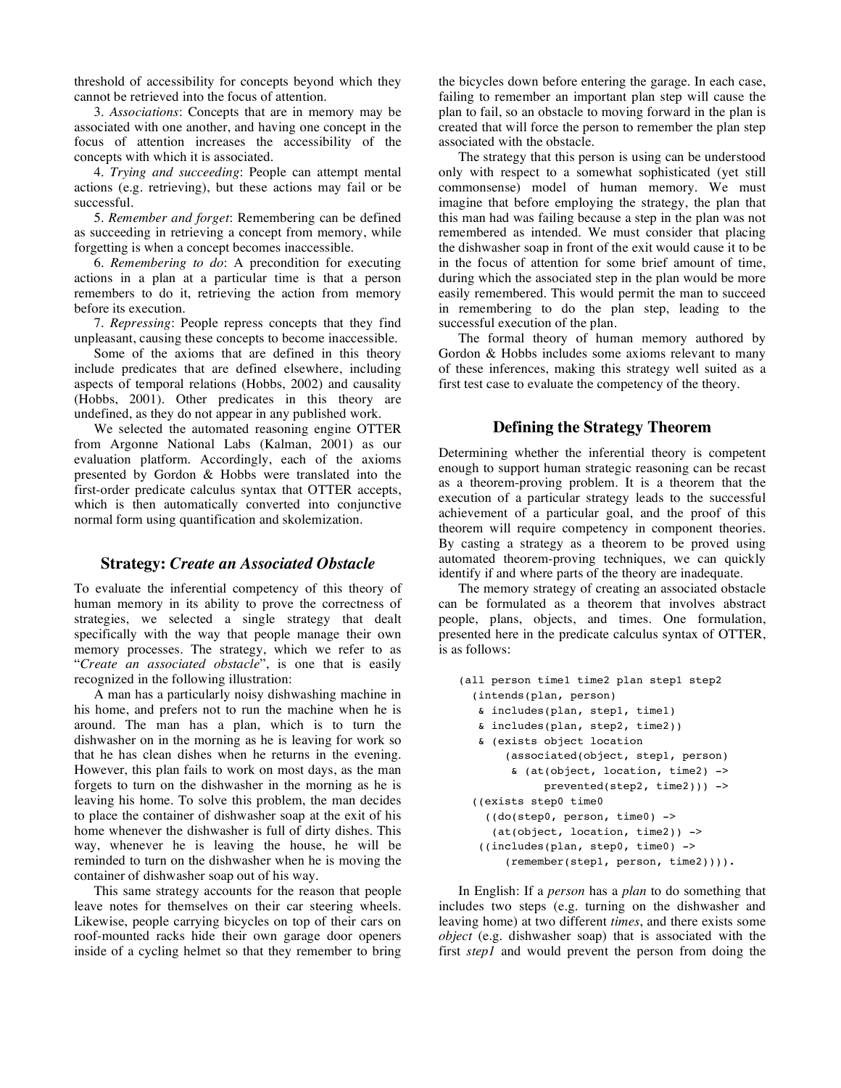threshold of accessibility for concepts beyond which they cannot be retrieved into the focus of attention.

3. *Associations*: Concepts that are in memory may be associated with one another, and having one concept in the focus of attention increases the accessibility of the concepts with which it is associated.

4. *Trying and succeeding*: People can attempt mental actions (e.g. retrieving), but these actions may fail or be successful.

5. *Remember and forget*: Remembering can be defined as succeeding in retrieving a concept from memory, while forgetting is when a concept becomes inaccessible.

6. *Remembering to do*: A precondition for executing actions in a plan at a particular time is that a person remembers to do it, retrieving the action from memory before its execution.

7. *Repressing*: People repress concepts that they find unpleasant, causing these concepts to become inaccessible.

Some of the axioms that are defined in this theory include predicates that are defined elsewhere, including aspects of temporal relations (Hobbs, 2002) and causality (Hobbs, 2001). Other predicates in this theory are undefined, as they do not appear in any published work.

We selected the automated reasoning engine OTTER from Argonne National Labs (Kalman, 2001) as our evaluation platform. Accordingly, each of the axioms presented by Gordon & Hobbs were translated into the first-order predicate calculus syntax that OTTER accepts, which is then automatically converted into conjunctive normal form using quantification and skolemization.

### **Strategy:** *Create an Associated Obstacle*

To evaluate the inferential competency of this theory of human memory in its ability to prove the correctness of strategies, we selected a single strategy that dealt specifically with the way that people manage their own memory processes. The strategy, which we refer to as "*Create an associated obstacle*", is one that is easily recognized in the following illustration:

A man has a particularly noisy dishwashing machine in his home, and prefers not to run the machine when he is around. The man has a plan, which is to turn the dishwasher on in the morning as he is leaving for work so that he has clean dishes when he returns in the evening. However, this plan fails to work on most days, as the man forgets to turn on the dishwasher in the morning as he is leaving his home. To solve this problem, the man decides to place the container of dishwasher soap at the exit of his home whenever the dishwasher is full of dirty dishes. This way, whenever he is leaving the house, he will be reminded to turn on the dishwasher when he is moving the container of dishwasher soap out of his way.

This same strategy accounts for the reason that people leave notes for themselves on their car steering wheels. Likewise, people carrying bicycles on top of their cars on roof-mounted racks hide their own garage door openers inside of a cycling helmet so that they remember to bring the bicycles down before entering the garage. In each case, failing to remember an important plan step will cause the plan to fail, so an obstacle to moving forward in the plan is created that will force the person to remember the plan step associated with the obstacle.

The strategy that this person is using can be understood only with respect to a somewhat sophisticated (yet still commonsense) model of human memory. We must imagine that before employing the strategy, the plan that this man had was failing because a step in the plan was not remembered as intended. We must consider that placing the dishwasher soap in front of the exit would cause it to be in the focus of attention for some brief amount of time, during which the associated step in the plan would be more easily remembered. This would permit the man to succeed in remembering to do the plan step, leading to the successful execution of the plan.

The formal theory of human memory authored by Gordon & Hobbs includes some axioms relevant to many of these inferences, making this strategy well suited as a first test case to evaluate the competency of the theory.

## **Defining the Strategy Theorem**

Determining whether the inferential theory is competent enough to support human strategic reasoning can be recast as a theorem-proving problem. It is a theorem that the execution of a particular strategy leads to the successful achievement of a particular goal, and the proof of this theorem will require competency in component theories. By casting a strategy as a theorem to be proved using automated theorem-proving techniques, we can quickly identify if and where parts of the theory are inadequate.

The memory strategy of creating an associated obstacle can be formulated as a theorem that involves abstract people, plans, objects, and times. One formulation, presented here in the predicate calculus syntax of OTTER, is as follows:

```
(all person time1 time2 plan step1 step2
(intends(plan, person)
 & includes(plan, step1, time1)
 & includes(plan, step2, time2))
 & (exists object location
     (associated(object, step1, person)
       & (at(object, location, time2) ->
           prevented(step2, time2))) ->
((exists step0 time0
  ((do(step0, person, time0) ->
   (at(object, location, time2)) ->
 ((includes(plan, step0, time0) ->
     (remember(step1, person, time2)))).
```
In English: If a *person* has a *plan* to do something that includes two steps (e.g. turning on the dishwasher and leaving home) at two different *times*, and there exists some *object* (e.g. dishwasher soap) that is associated with the first *step1* and would prevent the person from doing the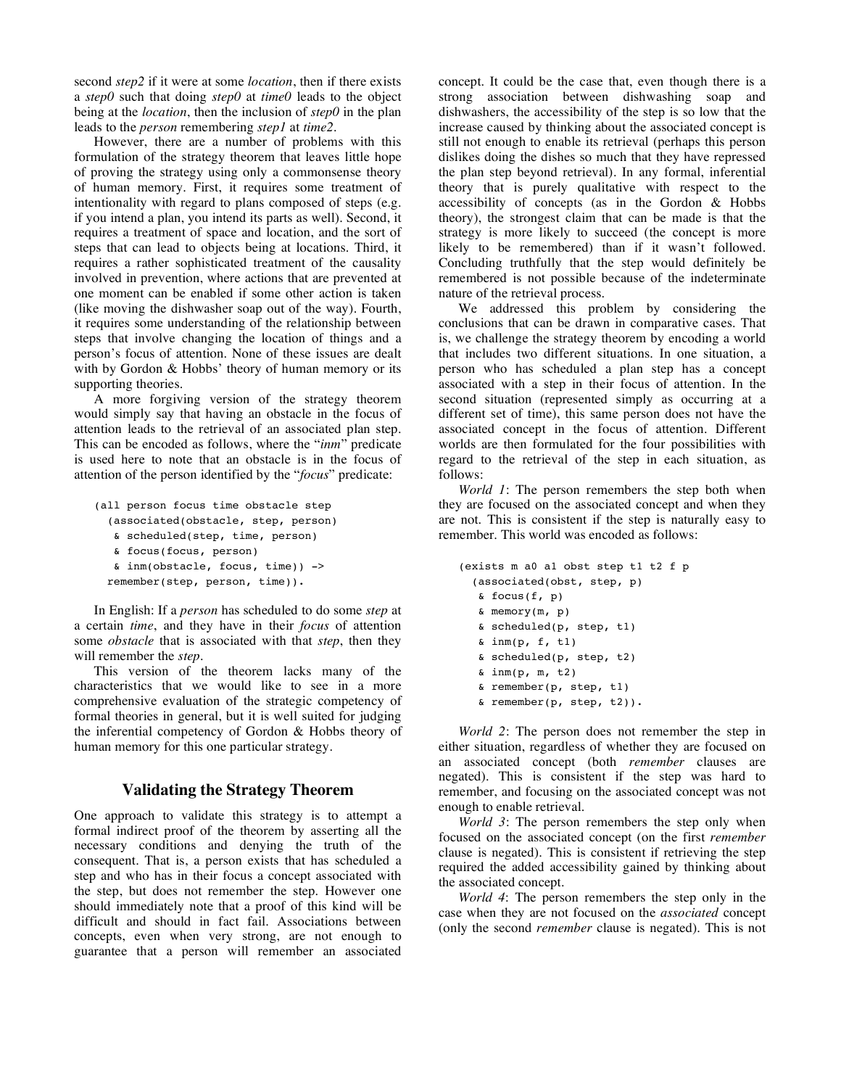second *step2* if it were at some *location*, then if there exists a *step0* such that doing *step0* at *time0* leads to the object being at the *location*, then the inclusion of *step0* in the plan leads to the *person* remembering *step1* at *time2*.

However, there are a number of problems with this formulation of the strategy theorem that leaves little hope of proving the strategy using only a commonsense theory of human memory. First, it requires some treatment of intentionality with regard to plans composed of steps (e.g. if you intend a plan, you intend its parts as well). Second, it requires a treatment of space and location, and the sort of steps that can lead to objects being at locations. Third, it requires a rather sophisticated treatment of the causality involved in prevention, where actions that are prevented at one moment can be enabled if some other action is taken (like moving the dishwasher soap out of the way). Fourth, it requires some understanding of the relationship between steps that involve changing the location of things and a person's focus of attention. None of these issues are dealt with by Gordon & Hobbs' theory of human memory or its supporting theories.

A more forgiving version of the strategy theorem would simply say that having an obstacle in the focus of attention leads to the retrieval of an associated plan step. This can be encoded as follows, where the "*inm*" predicate is used here to note that an obstacle is in the focus of attention of the person identified by the "*focus*" predicate:

```
(all person focus time obstacle step
(associated(obstacle, step, person)
 & scheduled(step, time, person)
 & focus(focus, person)
 & inm(obstacle, focus, time)) ->
remember(step, person, time)).
```
In English: If a *person* has scheduled to do some *step* at a certain *time*, and they have in their *focus* of attention some *obstacle* that is associated with that *step*, then they will remember the *step*.

This version of the theorem lacks many of the characteristics that we would like to see in a more comprehensive evaluation of the strategic competency of formal theories in general, but it is well suited for judging the inferential competency of Gordon & Hobbs theory of human memory for this one particular strategy.

## **Validating the Strategy Theorem**

One approach to validate this strategy is to attempt a formal indirect proof of the theorem by asserting all the necessary conditions and denying the truth of the consequent. That is, a person exists that has scheduled a step and who has in their focus a concept associated with the step, but does not remember the step. However one should immediately note that a proof of this kind will be difficult and should in fact fail. Associations between concepts, even when very strong, are not enough to guarantee that a person will remember an associated concept. It could be the case that, even though there is a strong association between dishwashing soap and dishwashers, the accessibility of the step is so low that the increase caused by thinking about the associated concept is still not enough to enable its retrieval (perhaps this person dislikes doing the dishes so much that they have repressed the plan step beyond retrieval). In any formal, inferential theory that is purely qualitative with respect to the accessibility of concepts (as in the Gordon & Hobbs theory), the strongest claim that can be made is that the strategy is more likely to succeed (the concept is more likely to be remembered) than if it wasn't followed. Concluding truthfully that the step would definitely be remembered is not possible because of the indeterminate nature of the retrieval process.

We addressed this problem by considering the conclusions that can be drawn in comparative cases. That is, we challenge the strategy theorem by encoding a world that includes two different situations. In one situation, a person who has scheduled a plan step has a concept associated with a step in their focus of attention. In the second situation (represented simply as occurring at a different set of time), this same person does not have the associated concept in the focus of attention. Different worlds are then formulated for the four possibilities with regard to the retrieval of the step in each situation, as follows:

*World 1*: The person remembers the step both when they are focused on the associated concept and when they are not. This is consistent if the step is naturally easy to remember. This world was encoded as follows:

```
(exists m a0 a1 obst step t1 t2 f p
(associated(obst, step, p)
 \& focus(f, p)
 & memory(m, p)
 & scheduled(p, step, t1)
 \delta inm(p, f, t1)
 & scheduled(p, step, t2)
 \delta inm(p, m, t2)
 & remember(p, step, t1)
 \& remember(p, step, t2)).
```
*World 2*: The person does not remember the step in either situation, regardless of whether they are focused on an associated concept (both *remember* clauses are negated). This is consistent if the step was hard to remember, and focusing on the associated concept was not enough to enable retrieval.

*World 3*: The person remembers the step only when focused on the associated concept (on the first *remember* clause is negated). This is consistent if retrieving the step required the added accessibility gained by thinking about the associated concept.

*World 4*: The person remembers the step only in the case when they are not focused on the *associated* concept (only the second *remember* clause is negated). This is not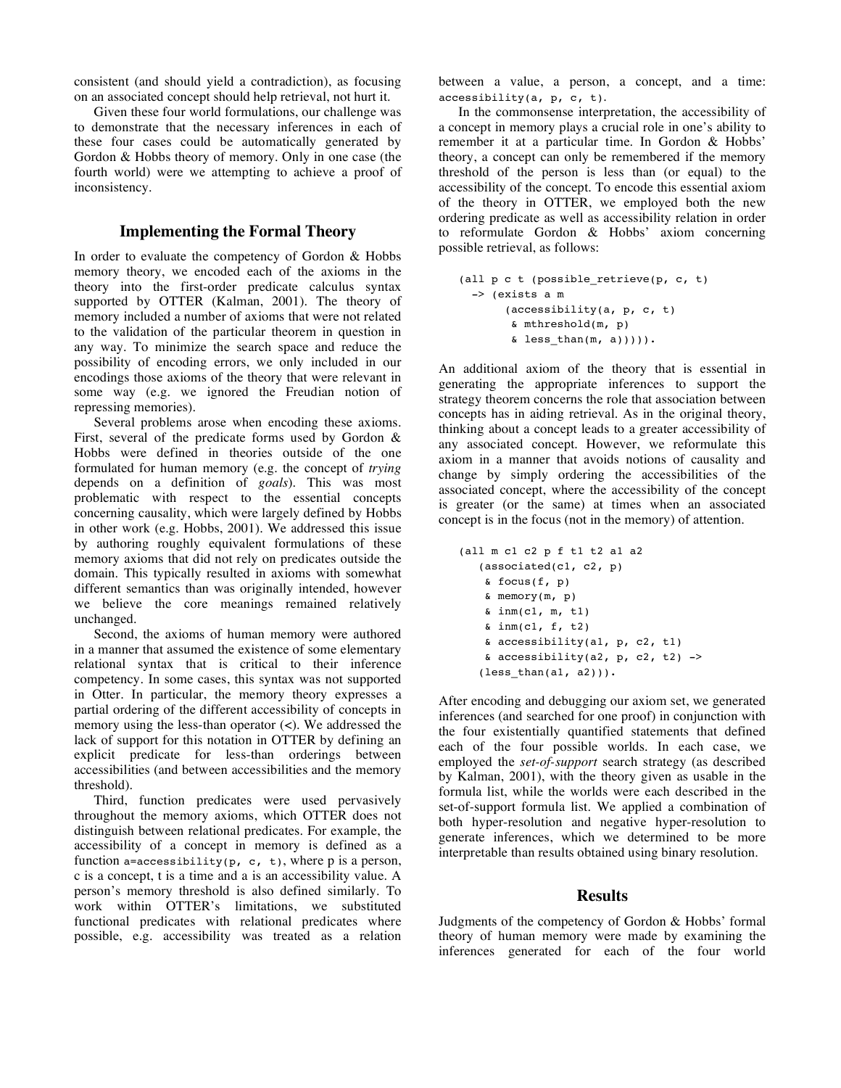consistent (and should yield a contradiction), as focusing on an associated concept should help retrieval, not hurt it.

Given these four world formulations, our challenge was to demonstrate that the necessary inferences in each of these four cases could be automatically generated by Gordon & Hobbs theory of memory. Only in one case (the fourth world) were we attempting to achieve a proof of inconsistency.

## **Implementing the Formal Theory**

In order to evaluate the competency of Gordon & Hobbs memory theory, we encoded each of the axioms in the theory into the first-order predicate calculus syntax supported by OTTER (Kalman, 2001). The theory of memory included a number of axioms that were not related to the validation of the particular theorem in question in any way. To minimize the search space and reduce the possibility of encoding errors, we only included in our encodings those axioms of the theory that were relevant in some way (e.g. we ignored the Freudian notion of repressing memories).

Several problems arose when encoding these axioms. First, several of the predicate forms used by Gordon & Hobbs were defined in theories outside of the one formulated for human memory (e.g. the concept of *trying* depends on a definition of *goals*). This was most problematic with respect to the essential concepts concerning causality, which were largely defined by Hobbs in other work (e.g. Hobbs, 2001). We addressed this issue by authoring roughly equivalent formulations of these memory axioms that did not rely on predicates outside the domain. This typically resulted in axioms with somewhat different semantics than was originally intended, however we believe the core meanings remained relatively unchanged.

Second, the axioms of human memory were authored in a manner that assumed the existence of some elementary relational syntax that is critical to their inference competency. In some cases, this syntax was not supported in Otter. In particular, the memory theory expresses a partial ordering of the different accessibility of concepts in memory using the less-than operator (<). We addressed the lack of support for this notation in OTTER by defining an explicit predicate for less-than orderings between accessibilities (and between accessibilities and the memory threshold).

Third, function predicates were used pervasively throughout the memory axioms, which OTTER does not distinguish between relational predicates. For example, the accessibility of a concept in memory is defined as a function a=accessibility(p, c, t), where p is a person, c is a concept, t is a time and a is an accessibility value. A person's memory threshold is also defined similarly. To work within OTTER's limitations, we substituted functional predicates with relational predicates where possible, e.g. accessibility was treated as a relation

between a value, a person, a concept, and a time: accessibility(a, p, c, t).

In the commonsense interpretation, the accessibility of a concept in memory plays a crucial role in one's ability to remember it at a particular time. In Gordon & Hobbs' theory, a concept can only be remembered if the memory threshold of the person is less than (or equal) to the accessibility of the concept. To encode this essential axiom of the theory in OTTER, we employed both the new ordering predicate as well as accessibility relation in order to reformulate Gordon & Hobbs' axiom concerning possible retrieval, as follows:

```
(all p c t (possible retrieve(p, c, t)
-> (exists a m
     (accessibility(a, p, c, t)
      & mthreshold(m, p)
      \& less_than(m, a))))).
```
An additional axiom of the theory that is essential in generating the appropriate inferences to support the strategy theorem concerns the role that association between concepts has in aiding retrieval. As in the original theory, thinking about a concept leads to a greater accessibility of any associated concept. However, we reformulate this axiom in a manner that avoids notions of causality and change by simply ordering the accessibilities of the associated concept, where the accessibility of the concept is greater (or the same) at times when an associated concept is in the focus (not in the memory) of attention.

```
(all m c1 c2 p f t1 t2 a1 a2
 (associated(c1, c2, p)
  \& focus(f, p)
  & memory(m, p)
  \delta inm(c1, m, t1)
  & inm(c1, f, t2)
  & accessibility(a1, p, c2, t1)
  & accessibility(a2, p, c2, t2) ->
 (less than(a1, a2))).
```
After encoding and debugging our axiom set, we generated inferences (and searched for one proof) in conjunction with the four existentially quantified statements that defined each of the four possible worlds. In each case, we employed the *set-of-support* search strategy (as described by Kalman, 2001), with the theory given as usable in the formula list, while the worlds were each described in the set-of-support formula list. We applied a combination of both hyper-resolution and negative hyper-resolution to generate inferences, which we determined to be more interpretable than results obtained using binary resolution.

#### **Results**

Judgments of the competency of Gordon & Hobbs' formal theory of human memory were made by examining the inferences generated for each of the four world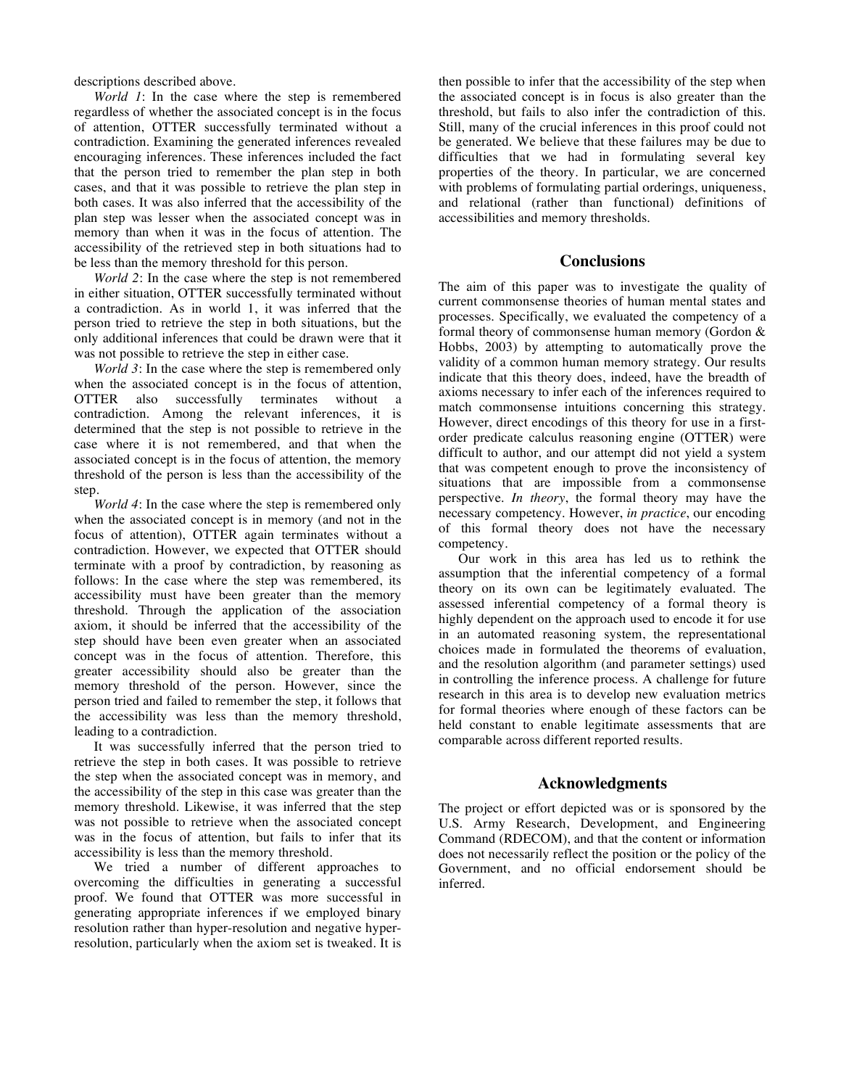descriptions described above.

*World 1*: In the case where the step is remembered regardless of whether the associated concept is in the focus of attention, OTTER successfully terminated without a contradiction. Examining the generated inferences revealed encouraging inferences. These inferences included the fact that the person tried to remember the plan step in both cases, and that it was possible to retrieve the plan step in both cases. It was also inferred that the accessibility of the plan step was lesser when the associated concept was in memory than when it was in the focus of attention. The accessibility of the retrieved step in both situations had to be less than the memory threshold for this person.

*World 2*: In the case where the step is not remembered in either situation, OTTER successfully terminated without a contradiction. As in world 1, it was inferred that the person tried to retrieve the step in both situations, but the only additional inferences that could be drawn were that it was not possible to retrieve the step in either case.

*World 3*: In the case where the step is remembered only when the associated concept is in the focus of attention, OTTER also successfully terminates without a contradiction. Among the relevant inferences, it is determined that the step is not possible to retrieve in the case where it is not remembered, and that when the associated concept is in the focus of attention, the memory threshold of the person is less than the accessibility of the step.

*World 4*: In the case where the step is remembered only when the associated concept is in memory (and not in the focus of attention), OTTER again terminates without a contradiction. However, we expected that OTTER should terminate with a proof by contradiction, by reasoning as follows: In the case where the step was remembered, its accessibility must have been greater than the memory threshold. Through the application of the association axiom, it should be inferred that the accessibility of the step should have been even greater when an associated concept was in the focus of attention. Therefore, this greater accessibility should also be greater than the memory threshold of the person. However, since the person tried and failed to remember the step, it follows that the accessibility was less than the memory threshold, leading to a contradiction.

It was successfully inferred that the person tried to retrieve the step in both cases. It was possible to retrieve the step when the associated concept was in memory, and the accessibility of the step in this case was greater than the memory threshold. Likewise, it was inferred that the step was not possible to retrieve when the associated concept was in the focus of attention, but fails to infer that its accessibility is less than the memory threshold.

We tried a number of different approaches to overcoming the difficulties in generating a successful proof. We found that OTTER was more successful in generating appropriate inferences if we employed binary resolution rather than hyper-resolution and negative hyperresolution, particularly when the axiom set is tweaked. It is

then possible to infer that the accessibility of the step when the associated concept is in focus is also greater than the threshold, but fails to also infer the contradiction of this. Still, many of the crucial inferences in this proof could not be generated. We believe that these failures may be due to difficulties that we had in formulating several key properties of the theory. In particular, we are concerned with problems of formulating partial orderings, uniqueness, and relational (rather than functional) definitions of accessibilities and memory thresholds.

### **Conclusions**

The aim of this paper was to investigate the quality of current commonsense theories of human mental states and processes. Specifically, we evaluated the competency of a formal theory of commonsense human memory (Gordon & Hobbs, 2003) by attempting to automatically prove the validity of a common human memory strategy. Our results indicate that this theory does, indeed, have the breadth of axioms necessary to infer each of the inferences required to match commonsense intuitions concerning this strategy. However, direct encodings of this theory for use in a firstorder predicate calculus reasoning engine (OTTER) were difficult to author, and our attempt did not yield a system that was competent enough to prove the inconsistency of situations that are impossible from a commonsense perspective. *In theory*, the formal theory may have the necessary competency. However, *in practice*, our encoding of this formal theory does not have the necessary competency.

Our work in this area has led us to rethink the assumption that the inferential competency of a formal theory on its own can be legitimately evaluated. The assessed inferential competency of a formal theory is highly dependent on the approach used to encode it for use in an automated reasoning system, the representational choices made in formulated the theorems of evaluation, and the resolution algorithm (and parameter settings) used in controlling the inference process. A challenge for future research in this area is to develop new evaluation metrics for formal theories where enough of these factors can be held constant to enable legitimate assessments that are comparable across different reported results.

## **Acknowledgments**

The project or effort depicted was or is sponsored by the U.S. Army Research, Development, and Engineering Command (RDECOM), and that the content or information does not necessarily reflect the position or the policy of the Government, and no official endorsement should be inferred.